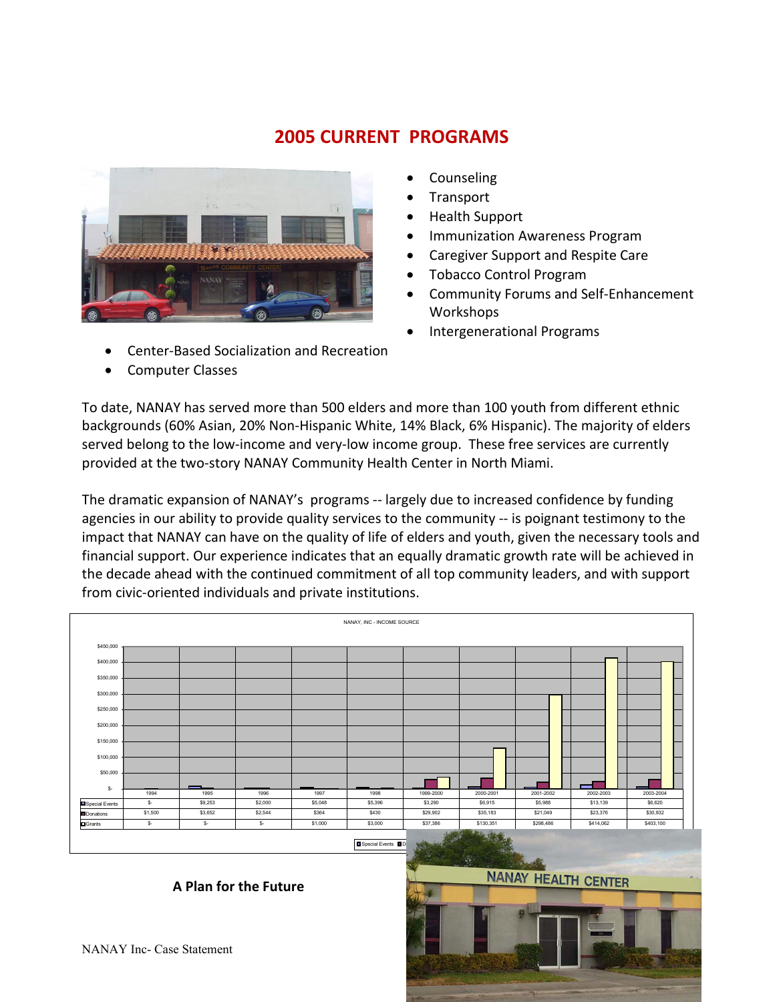# **2005 CURRENT PROGRAMS**



- Center-Based Socialization and Recreation
- Computer Classes
- Counseling
- **Transport**
- Health Support
- Immunization Awareness Program
- Caregiver Support and Respite Care
- Tobacco Control Program
- Community Forums and Self-Enhancement Workshops
- Intergenerational Programs

To date, NANAY has served more than 500 elders and more than 100 youth from different ethnic backgrounds (60% Asian, 20% Non-Hispanic White, 14% Black, 6% Hispanic). The majority of elders served belong to the low-income and very-low income group. These free services are currently provided at the two-story NANAY Community Health Center in North Miami.

The dramatic expansion of NANAY's programs -- largely due to increased confidence by funding agencies in our ability to provide quality services to the community -- is poignant testimony to the impact that NANAY can have on the quality of life of elders and youth, given the necessary tools and financial support. Our experience indicates that an equally dramatic growth rate will be achieved in the decade ahead with the continued commitment of all top community leaders, and with support from civic-oriented individuals and private institutions.

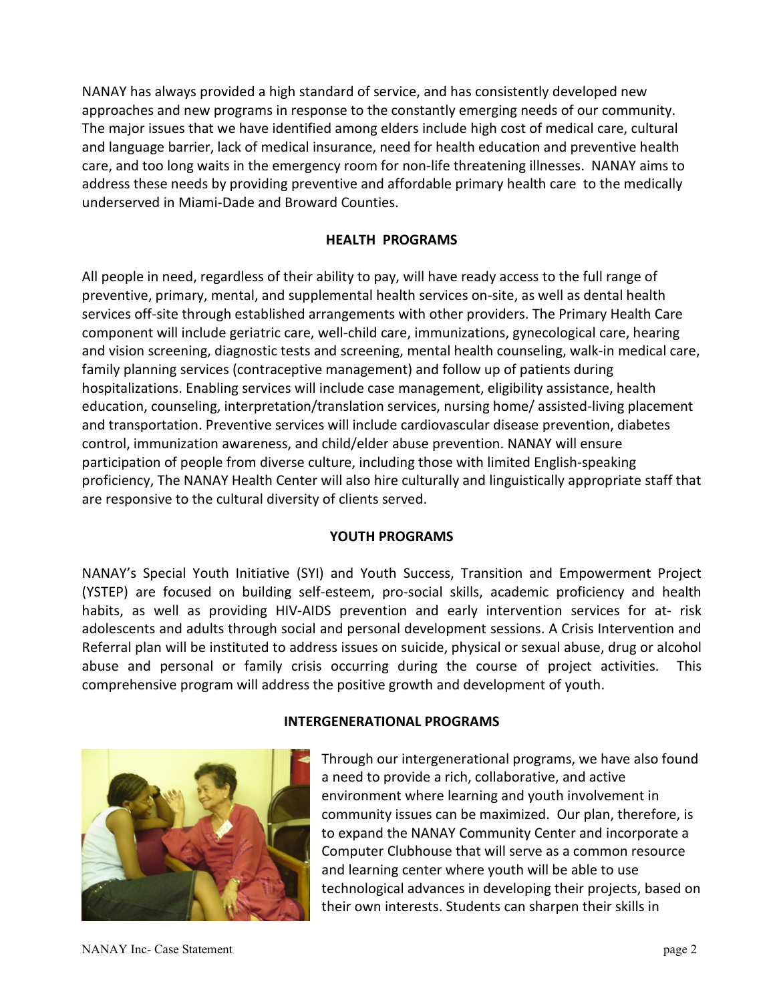NANAY has always provided a high standard of service, and has consistently developed new approaches and new programs in response to the constantly emerging needs of our community. The major issues that we have identified among elders include high cost of medical care, cultural and language barrier, lack of medical insurance, need for health education and preventive health care, and too long waits in the emergency room for non-life threatening illnesses. NANAY aims to address these needs by providing preventive and affordable primary health care to the medically underserved in Miami-Dade and Broward Counties.

# **HEALTH PROGRAMS**

All people in need, regardless of their ability to pay, will have ready access to the full range of preventive, primary, mental, and supplemental health services on-site, as well as dental health services off-site through established arrangements with other providers. The Primary Health Care component will include geriatric care, well-child care, immunizations, gynecological care, hearing and vision screening, diagnostic tests and screening, mental health counseling, walk-in medical care, family planning services (contraceptive management) and follow up of patients during hospitalizations. Enabling services will include case management, eligibility assistance, health education, counseling, interpretation/translation services, nursing home/ assisted-living placement and transportation. Preventive services will include cardiovascular disease prevention, diabetes control, immunization awareness, and child/elder abuse prevention. NANAY will ensure participation of people from diverse culture, including those with limited English-speaking proficiency, The NANAY Health Center will also hire culturally and linguistically appropriate staff that are responsive to the cultural diversity of clients served.

### **YOUTH PROGRAMS**

NANAY's Special Youth Initiative (SYI) and Youth Success, Transition and Empowerment Project (YSTEP) are focused on building self-esteem, pro-social skills, academic proficiency and health habits, as well as providing HIV-AIDS prevention and early intervention services for at- risk adolescents and adults through social and personal development sessions. A Crisis Intervention and Referral plan will be instituted to address issues on suicide, physical or sexual abuse, drug or alcohol abuse and personal or family crisis occurring during the course of project activities. This comprehensive program will address the positive growth and development of youth.



#### **INTERGENERATIONAL PROGRAMS**

Through our intergenerational programs, we have also found a need to provide a rich, collaborative, and active environment where learning and youth involvement in community issues can be maximized. Our plan, therefore, is to expand the NANAY Community Center and incorporate a Computer Clubhouse that will serve as a common resource and learning center where youth will be able to use technological advances in developing their projects, based on their own interests. Students can sharpen their skills in